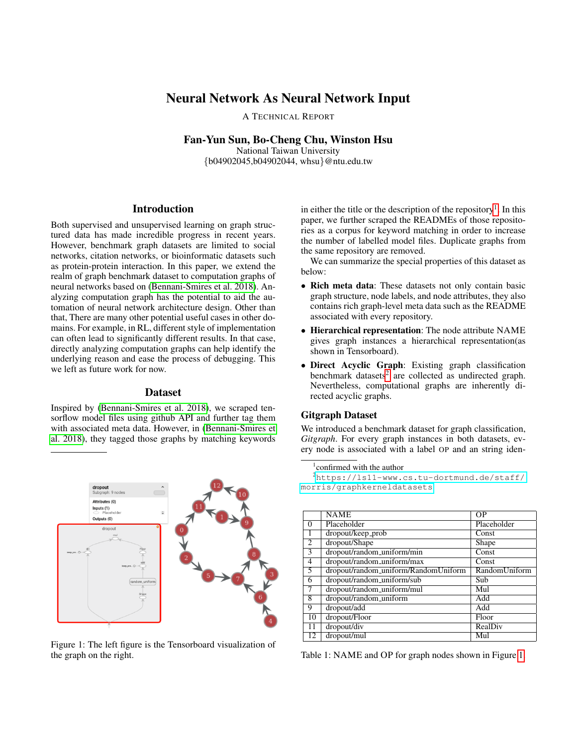# Neural Network As Neural Network Input

A TECHNICAL REPORT

Fan-Yun Sun, Bo-Cheng Chu, Winston Hsu

National Taiwan University {b04902045,b04902044, whsu}@ntu.edu.tw

## Introduction

Both supervised and unsupervised learning on graph structured data has made incredible progress in recent years. However, benchmark graph datasets are limited to social networks, citation networks, or bioinformatic datasets such as protein-protein interaction. In this paper, we extend the realm of graph benchmark dataset to computation graphs of neural networks based on [\(Bennani-Smires et al. 2018\)](#page-3-0). Analyzing computation graph has the potential to aid the automation of neural network architecture design. Other than that, There are many other potential useful cases in other domains. For example, in RL, different style of implementation can often lead to significantly different results. In that case, directly analyzing computation graphs can help identify the underlying reason and ease the process of debugging. This we left as future work for now.

#### **Dataset**

Inspired by [\(Bennani-Smires et al. 2018\)](#page-3-0), we scraped tensorflow model files using github API and further tag them with associated meta data. However, in [\(Bennani-Smires et](#page-3-0) [al. 2018\)](#page-3-0), they tagged those graphs by matching keywords

<span id="page-0-2"></span>

Figure 1: The left figure is the Tensorboard visualization of the graph on the right.

in either the title or the description of the repository<sup>[1](#page-0-0)</sup>. In this paper, we further scraped the READMEs of those repositories as a corpus for keyword matching in order to increase the number of labelled model files. Duplicate graphs from the same repository are removed.

We can summarize the special properties of this dataset as below:

- Rich meta data: These datasets not only contain basic graph structure, node labels, and node attributes, they also contains rich graph-level meta data such as the README associated with every repository.
- Hierarchical representation: The node attribute NAME gives graph instances a hierarchical representation(as shown in Tensorboard).
- Direct Acyclic Graph: Existing graph classification benchmark datasets<sup>[2](#page-0-1)</sup> are collected as undirected graph. Nevertheless, computational graphs are inherently directed acyclic graphs.

## Gitgraph Dataset

We introduced a benchmark dataset for graph classification, *Gitgraph*. For every graph instances in both datasets, every node is associated with a label OP and an string iden-

```
1
confirmed with the author
```
<sup>2</sup>[https://ls11-www.cs.tu-dortmund.de/staff/](https://ls11-www.cs.tu-dortmund.de/staff/morris/graphkerneldatasets) [morris/graphkerneldatasets](https://ls11-www.cs.tu-dortmund.de/staff/morris/graphkerneldatasets)

<span id="page-0-3"></span>

|                | <b>NAME</b>                          | OΡ            |
|----------------|--------------------------------------|---------------|
| $\Omega$       | Placeholder                          | Placeholder   |
| -1             | dropout/keep_prob                    | Const         |
| $\overline{2}$ | dropout/Shape                        | Shape         |
| $\mathcal{F}$  | dropout/random_uniform/min           | Const         |
| 4              | dropout/random_uniform/max           | Const         |
| 5              | dropout/random_uniform/RandomUniform | RandomUniform |
| 6              | dropout/random_uniform/sub           | Sub           |
|                | dropout/random_uniform/mul           | Mul           |
| $\overline{8}$ | dropout/random_uniform               | Add           |
| 9              | dropout/add                          | Add           |
| 10             | dropout/Floor                        | Floor         |
| 11             | dropout/div                          | RealDiv       |
| 12             | dropout/mul                          | Mul           |

Table 1: NAME and OP for graph nodes shown in Figure [1.](#page-0-2)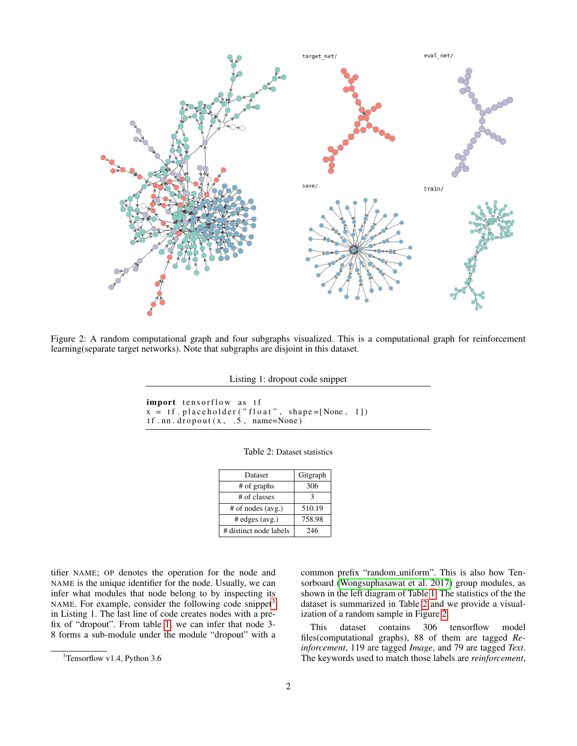<span id="page-1-2"></span>

Figure 2: A random computational graph and four subgraphs visualized. This is a computational graph for reinforcement learning(separate target networks). Note that subgraphs are disjoint in this dataset.

Listing 1: dropout code snippet

```
import tensorflow as tf
x = tf. placeholder("float", shape=[None, 1])tf. nn. dropout (x, .5, .7) name=None)
```

| Table 2: Dataset statistics |  |  |
|-----------------------------|--|--|
|-----------------------------|--|--|

| Dataset                | Gitgraph |
|------------------------|----------|
| # of graphs            | 306      |
| # of classes           |          |
| $#$ of nodes (avg.)    | 510.19   |
| $#$ edges $(avg.)$     | 758.98   |
| # distinct node labels | 246      |

tifier NAME; OP denotes the operation for the node and NAME is the unique identifier for the node. Usually, we can infer what modules that node belong to by inspecting its NAME. For example, consider the following code snippet<sup>[3](#page-1-0)</sup> in Listing 1. The last line of code creates nodes with a prefix of "dropout". From table [1,](#page-0-3) we can infer that node 3- 8 forms a sub-module under the module "dropout" with a common prefix "random uniform". This is also how Tensorboard [\(Wongsuphasawat et al. 2017\)](#page-3-1) group modules, as shown in the left diagram of Table [1.](#page-0-2) The statistics of the the dataset is summarized in Table [2](#page-1-1) and we provide a visualization of a random sample in Figure [2.](#page-1-2)

This dataset contains 306 tensorflow model files(computational graphs), 88 of them are tagged *Reinforcement*, 119 are tagged *Image*, and 79 are tagged *Text*. The keywords used to match those labels are *reinforcement*,

<span id="page-1-0"></span><sup>3</sup>Tensorflow v1.4, Python 3.6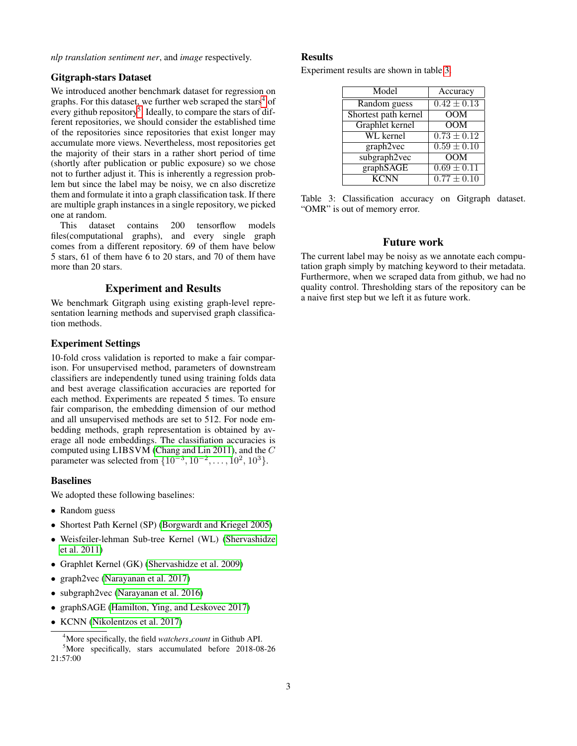*nlp translation sentiment ner*, and *image* respectively.

## Gitgraph-stars Dataset

We introduced another benchmark dataset for regression on graphs. For this dataset, we further web scraped the stars<sup>[4](#page-2-0)</sup> of every github repository<sup>[5](#page-2-1)</sup>. Ideally, to compare the stars of different repositories, we should consider the established time of the repositories since repositories that exist longer may accumulate more views. Nevertheless, most repositories get the majority of their stars in a rather short period of time (shortly after publication or public exposure) so we chose not to further adjust it. This is inherently a regression problem but since the label may be noisy, we cn also discretize them and formulate it into a graph classification task. If there are multiple graph instances in a single repository, we picked one at random.

This dataset contains 200 tensorflow models files(computational graphs), and every single graph comes from a different repository. 69 of them have below 5 stars, 61 of them have 6 to 20 stars, and 70 of them have more than 20 stars.

#### Experiment and Results

We benchmark Gitgraph using existing graph-level representation learning methods and supervised graph classification methods.

#### Experiment Settings

10-fold cross validation is reported to make a fair comparison. For unsupervised method, parameters of downstream classifiers are independently tuned using training folds data and best average classification accuracies are reported for each method. Experiments are repeated 5 times. To ensure fair comparison, the embedding dimension of our method and all unsupervised methods are set to 512. For node embedding methods, graph representation is obtained by average all node embeddings. The classifiation accuracies is computed using LIBSVM [\(Chang and Lin 2011\)](#page-3-2), and the C parameter was selected from  $\{10^{-3}, 10^{-2}, \ldots, 10^{2}, 10^{3}\}.$ 

## Baselines

We adopted these following baselines:

- Random guess
- Shortest Path Kernel (SP) [\(Borgwardt and Kriegel 2005\)](#page-3-3)
- Weisfeiler-lehman Sub-tree Kernel (WL) [\(Shervashidze](#page-3-4) [et al. 2011\)](#page-3-4)
- Graphlet Kernel (GK) [\(Shervashidze et al. 2009\)](#page-3-5)
- graph2vec [\(Narayanan et al. 2017\)](#page-3-6)
- subgraph2vec [\(Narayanan et al. 2016\)](#page-3-7)
- graphSAGE [\(Hamilton, Ying, and Leskovec 2017\)](#page-3-8)
- KCNN [\(Nikolentzos et al. 2017\)](#page-3-9)

#### **Results**

<span id="page-2-2"></span>Experiment results are shown in table [3.](#page-2-2)

| Model                | Accuracy                   |
|----------------------|----------------------------|
| Random guess         | $0.42 \pm 0.13$            |
| Shortest path kernel | <b>OOM</b>                 |
| Graphlet kernel      | $\overline{OM}$            |
| WL kernel            | $0.73 \pm 0.12$            |
| graph2vec            | $\overline{0.59 \pm 0.10}$ |
| subgraph2vec         | $\overline{OM}$            |
| graphSAGE            | $\overline{0.69 \pm 0.11}$ |
| <b>KCNN</b>          | $\overline{0.77 \pm 0.10}$ |

Table 3: Classification accuracy on Gitgraph dataset. "OMR" is out of memory error.

#### Future work

The current label may be noisy as we annotate each computation graph simply by matching keyword to their metadata. Furthermore, when we scraped data from github, we had no quality control. Thresholding stars of the repository can be a naive first step but we left it as future work.

<span id="page-2-1"></span><span id="page-2-0"></span><sup>4</sup>More specifically, the field *watchers count* in Github API. <sup>5</sup>More specifically, stars accumulated before 2018-08-26 21:57:00